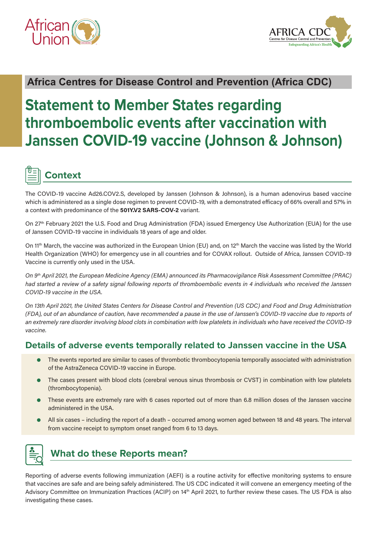



### **Africa Centres for Disease Control and Prevention (Africa CDC)**

# **Statement to Member States regarding thromboembolic events after vaccination with Janssen COVID-19 vaccine (Johnson & Johnson)**

# **Context**

The COVID-19 vaccine Ad26.COV2.S, developed by Janssen (Johnson & Johnson), is a human adenovirus based vaccine which is administered as a single dose regimen to prevent COVID-19, with a demonstrated efficacy of 66% overall and 57% in a context with predominance of the **501Y.V2 SARS-COV-2** variant.

On 27<sup>th</sup> February 2021 the U.S. Food and Drug Administration (FDA) issued Emergency Use Authorization (EUA) for the use of Janssen COVID-19 vaccine in individuals 18 years of age and older.

On 11<sup>th</sup> March, the vaccine was authorized in the European Union (EU) and, on 12<sup>th</sup> March the vaccine was listed by the World Health Organization (WHO) for emergency use in all countries and for COVAX rollout. Outside of Africa, Janssen COVID-19 Vaccine is currently only used in the USA.

*On 9th April 2021, the European Medicine Agency (EMA) announced its Pharmacovigilance Risk Assessment Committee (PRAC) had started a review of a safety signal following reports of thromboembolic events in 4 individuals who received the Janssen COVID-19 vaccine in the USA.*

*On 13th April 2021, the United States Centers for Disease Control and Prevention (US CDC) and Food and Drug Administration (FDA), out of an abundance of caution, have recommended a pause in the use of Janssen's COVID-19 vaccine due to reports of an extremely rare disorder involving blood clots in combination with low platelets in individuals who have received the COVID-19 vaccine.*

#### **Details of adverse events temporally related to Janssen vaccine in the USA**

- The events reported are similar to cases of thrombotic thrombocytopenia temporally associated with administration of the AstraZeneca COVID-19 vaccine in Europe.
- The cases present with blood clots (cerebral venous sinus thrombosis or CVST) in combination with low platelets (thrombocytopenia).
- These events are extremely rare with 6 cases reported out of more than 6.8 million doses of the Janssen vaccine administered in the USA.
- All six cases including the report of a death occurred among women aged between 18 and 48 years. The interval from vaccine receipt to symptom onset ranged from 6 to 13 days.

## **What do these Reports mean?**

Reporting of adverse events following immunization (AEFI) is a routine activity for effective monitoring systems to ensure that vaccines are safe and are being safely administered. The US CDC indicated it will convene an emergency meeting of the Advisory Committee on Immunization Practices (ACIP) on 14th April 2021, to further review these cases. The US FDA is also investigating these cases.